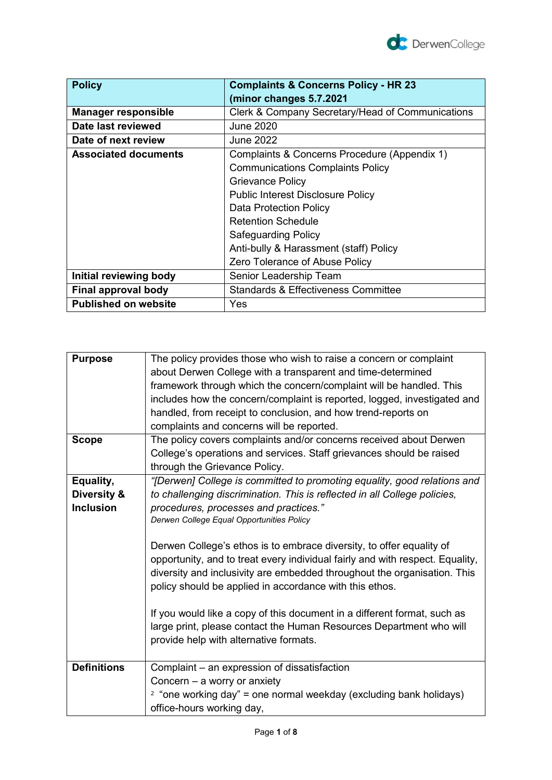

| <b>Policy</b>               | <b>Complaints &amp; Concerns Policy - HR 23</b>  |
|-----------------------------|--------------------------------------------------|
|                             | (minor changes 5.7.2021                          |
| <b>Manager responsible</b>  | Clerk & Company Secretary/Head of Communications |
| Date last reviewed          | June 2020                                        |
| Date of next review         | <b>June 2022</b>                                 |
| <b>Associated documents</b> | Complaints & Concerns Procedure (Appendix 1)     |
|                             | <b>Communications Complaints Policy</b>          |
|                             | <b>Grievance Policy</b>                          |
|                             | <b>Public Interest Disclosure Policy</b>         |
|                             | <b>Data Protection Policy</b>                    |
|                             | <b>Retention Schedule</b>                        |
|                             | <b>Safeguarding Policy</b>                       |
|                             | Anti-bully & Harassment (staff) Policy           |
|                             | Zero Tolerance of Abuse Policy                   |
| Initial reviewing body      | Senior Leadership Team                           |
| Final approval body         | <b>Standards &amp; Effectiveness Committee</b>   |
| <b>Published on website</b> | Yes                                              |

| The policy provides those who wish to raise a concern or complaint            |
|-------------------------------------------------------------------------------|
| about Derwen College with a transparent and time-determined                   |
| framework through which the concern/complaint will be handled. This           |
| includes how the concern/complaint is reported, logged, investigated and      |
| handled, from receipt to conclusion, and how trend-reports on                 |
| complaints and concerns will be reported.                                     |
| The policy covers complaints and/or concerns received about Derwen            |
| College's operations and services. Staff grievances should be raised          |
| through the Grievance Policy.                                                 |
| "[Derwen] College is committed to promoting equality, good relations and      |
| to challenging discrimination. This is reflected in all College policies,     |
| procedures, processes and practices."                                         |
| Derwen College Equal Opportunities Policy                                     |
|                                                                               |
| Derwen College's ethos is to embrace diversity, to offer equality of          |
| opportunity, and to treat every individual fairly and with respect. Equality, |
| diversity and inclusivity are embedded throughout the organisation. This      |
| policy should be applied in accordance with this ethos.                       |
|                                                                               |
| If you would like a copy of this document in a different format, such as      |
| large print, please contact the Human Resources Department who will           |
| provide help with alternative formats.                                        |
|                                                                               |
| Complaint - an expression of dissatisfaction                                  |
| Concern $-$ a worry or anxiety                                                |
| $2$ "one working day" = one normal weekday (excluding bank holidays)          |
| office-hours working day,                                                     |
|                                                                               |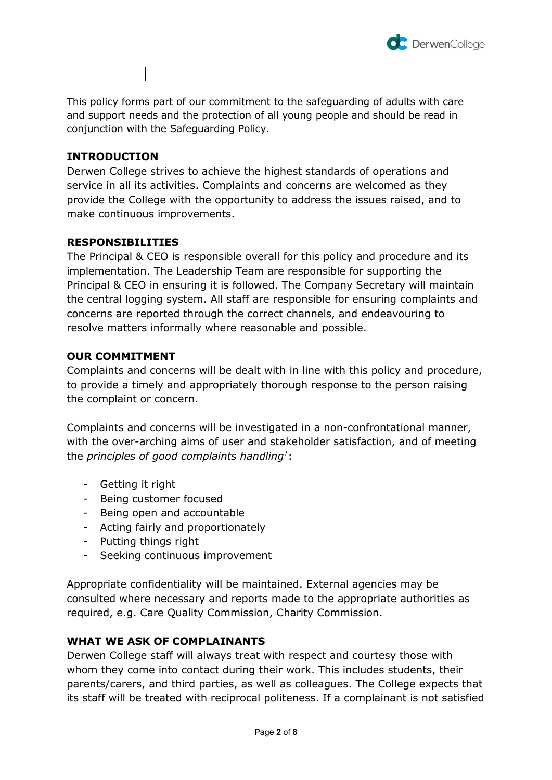

This policy forms part of our commitment to the safeguarding of adults with care and support needs and the protection of all young people and should be read in conjunction with the Safeguarding Policy.

### **INTRODUCTION**

Derwen College strives to achieve the highest standards of operations and service in all its activities. Complaints and concerns are welcomed as they provide the College with the opportunity to address the issues raised, and to make continuous improvements.

# **RESPONSIBILITIES**

The Principal & CEO is responsible overall for this policy and procedure and its implementation. The Leadership Team are responsible for supporting the Principal & CEO in ensuring it is followed. The Company Secretary will maintain the central logging system. All staff are responsible for ensuring complaints and concerns are reported through the correct channels, and endeavouring to resolve matters informally where reasonable and possible.

### **OUR COMMITMENT**

Complaints and concerns will be dealt with in line with this policy and procedure, to provide a timely and appropriately thorough response to the person raising the complaint or concern.

Complaints and concerns will be investigated in a non-confrontational manner, with the over-arching aims of user and stakeholder satisfaction, and of meeting the *principles of good complaints handling<sup>1</sup>* :

- Getting it right
- Being customer focused
- Being open and accountable
- Acting fairly and proportionately
- Putting things right
- Seeking continuous improvement

Appropriate confidentiality will be maintained. External agencies may be consulted where necessary and reports made to the appropriate authorities as required, e.g. Care Quality Commission, Charity Commission.

# **WHAT WE ASK OF COMPLAINANTS**

Derwen College staff will always treat with respect and courtesy those with whom they come into contact during their work. This includes students, their parents/carers, and third parties, as well as colleagues. The College expects that its staff will be treated with reciprocal politeness. If a complainant is not satisfied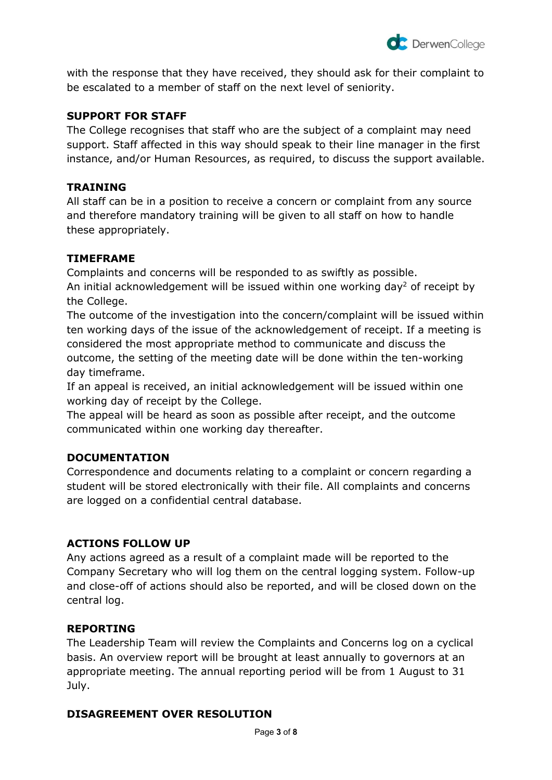

with the response that they have received, they should ask for their complaint to be escalated to a member of staff on the next level of seniority.

### **SUPPORT FOR STAFF**

The College recognises that staff who are the subject of a complaint may need support. Staff affected in this way should speak to their line manager in the first instance, and/or Human Resources, as required, to discuss the support available.

### **TRAINING**

All staff can be in a position to receive a concern or complaint from any source and therefore mandatory training will be given to all staff on how to handle these appropriately.

### **TIMEFRAME**

Complaints and concerns will be responded to as swiftly as possible. An initial acknowledgement will be issued within one working day<sup>2</sup> of receipt by the College.

The outcome of the investigation into the concern/complaint will be issued within ten working days of the issue of the acknowledgement of receipt. If a meeting is considered the most appropriate method to communicate and discuss the outcome, the setting of the meeting date will be done within the ten-working day timeframe.

If an appeal is received, an initial acknowledgement will be issued within one working day of receipt by the College.

The appeal will be heard as soon as possible after receipt, and the outcome communicated within one working day thereafter.

# **DOCUMENTATION**

Correspondence and documents relating to a complaint or concern regarding a student will be stored electronically with their file. All complaints and concerns are logged on a confidential central database.

### **ACTIONS FOLLOW UP**

Any actions agreed as a result of a complaint made will be reported to the Company Secretary who will log them on the central logging system. Follow-up and close-off of actions should also be reported, and will be closed down on the central log.

### **REPORTING**

The Leadership Team will review the Complaints and Concerns log on a cyclical basis. An overview report will be brought at least annually to governors at an appropriate meeting. The annual reporting period will be from 1 August to 31 July.

### **DISAGREEMENT OVER RESOLUTION**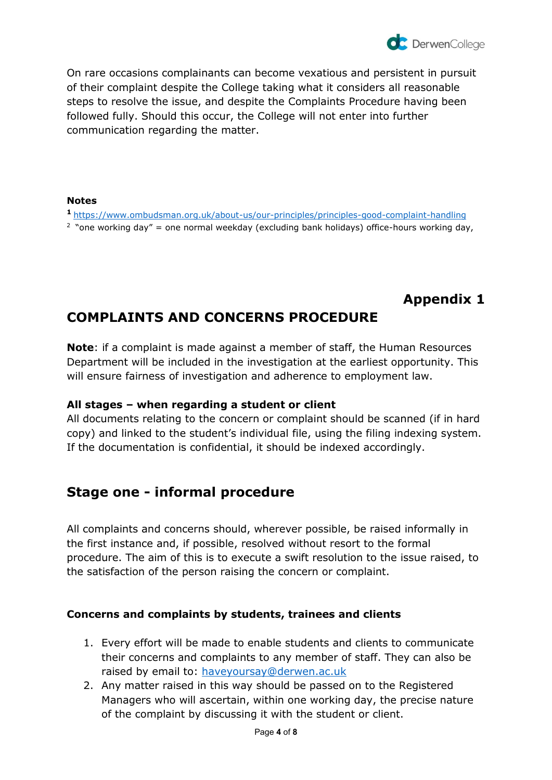On rare occasions complainants can become vexatious and persistent in pursuit of their complaint despite the College taking what it considers all reasonable steps to resolve the issue, and despite the Complaints Procedure having been followed fully. Should this occur, the College will not enter into further communication regarding the matter.

### **Notes**

**<sup>1</sup>**<https://www.ombudsman.org.uk/about-us/our-principles/principles-good-complaint-handling>

<sup>2</sup> "one working day" = one normal weekday (excluding bank holidays) office-hours working day,

# **Appendix 1**

# **COMPLAINTS AND CONCERNS PROCEDURE**

**Note**: if a complaint is made against a member of staff, the Human Resources Department will be included in the investigation at the earliest opportunity. This will ensure fairness of investigation and adherence to employment law.

# **All stages – when regarding a student or client**

All documents relating to the concern or complaint should be scanned (if in hard copy) and linked to the student's individual file, using the filing indexing system. If the documentation is confidential, it should be indexed accordingly.

# **Stage one - informal procedure**

All complaints and concerns should, wherever possible, be raised informally in the first instance and, if possible, resolved without resort to the formal procedure. The aim of this is to execute a swift resolution to the issue raised, to the satisfaction of the person raising the concern or complaint.

# **Concerns and complaints by students, trainees and clients**

- 1. Every effort will be made to enable students and clients to communicate their concerns and complaints to any member of staff. They can also be raised by email to: [haveyoursay@derwen.ac.uk](mailto:concernsandcomplaints@derwen.ac.uk)
- 2. Any matter raised in this way should be passed on to the Registered Managers who will ascertain, within one working day, the precise nature of the complaint by discussing it with the student or client.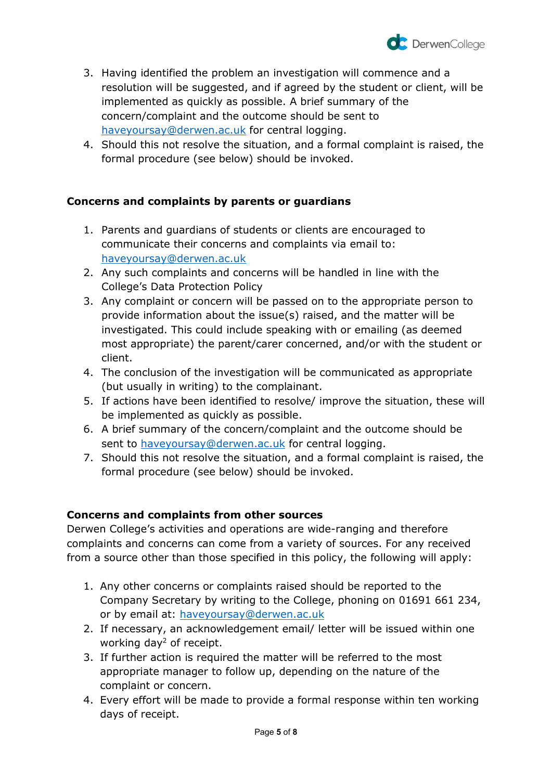

- 3. Having identified the problem an investigation will commence and a resolution will be suggested, and if agreed by the student or client, will be implemented as quickly as possible. A brief summary of the concern/complaint and the outcome should be sent to [haveyoursay@derwen.ac.uk](mailto:concernsandcomplaints@derwen.ac.uk) for central logging.
- 4. Should this not resolve the situation, and a formal complaint is raised, the formal procedure (see below) should be invoked.

# **Concerns and complaints by parents or guardians**

- 1. Parents and guardians of students or clients are encouraged to communicate their concerns and complaints via email to: [haveyoursay@derwen.ac.uk](mailto:concernsandcomplaints@derwen.ac.uk)
- 2. Any such complaints and concerns will be handled in line with the College's Data Protection Policy
- 3. Any complaint or concern will be passed on to the appropriate person to provide information about the issue(s) raised, and the matter will be investigated. This could include speaking with or emailing (as deemed most appropriate) the parent/carer concerned, and/or with the student or client.
- 4. The conclusion of the investigation will be communicated as appropriate (but usually in writing) to the complainant.
- 5. If actions have been identified to resolve/ improve the situation, these will be implemented as quickly as possible.
- 6. A brief summary of the concern/complaint and the outcome should be sent to [haveyoursay@derwen.ac.uk](mailto:concernsandcomplaints@derwen.ac.uk) for central logging.
- 7. Should this not resolve the situation, and a formal complaint is raised, the formal procedure (see below) should be invoked.

### **Concerns and complaints from other sources**

Derwen College's activities and operations are wide-ranging and therefore complaints and concerns can come from a variety of sources. For any received from a source other than those specified in this policy, the following will apply:

- 1. Any other concerns or complaints raised should be reported to the Company Secretary by writing to the College, phoning on 01691 661 234, or by email at: [haveyoursay@derwen.ac.uk](mailto:concernsandcomplaints@derwen.ac.uk)
- 2. If necessary, an acknowledgement email/ letter will be issued within one working day<sup>2</sup> of receipt.
- 3. If further action is required the matter will be referred to the most appropriate manager to follow up, depending on the nature of the complaint or concern.
- 4. Every effort will be made to provide a formal response within ten working days of receipt.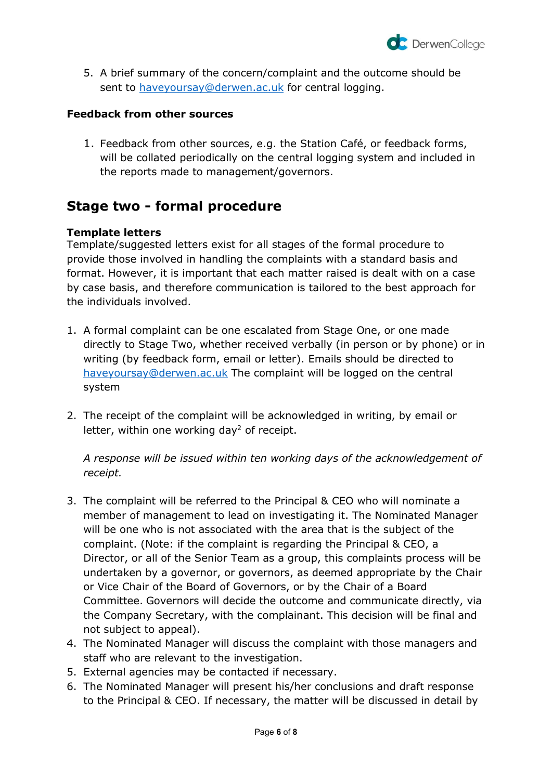

5. A brief summary of the concern/complaint and the outcome should be sent to [haveyoursay@derwen.ac.uk](mailto:concernsandcomplaints@derwen.ac.uk) for central logging.

### **Feedback from other sources**

1. Feedback from other sources, e.g. the Station Café, or feedback forms, will be collated periodically on the central logging system and included in the reports made to management/governors.

# **Stage two - formal procedure**

### **Template letters**

Template/suggested letters exist for all stages of the formal procedure to provide those involved in handling the complaints with a standard basis and format. However, it is important that each matter raised is dealt with on a case by case basis, and therefore communication is tailored to the best approach for the individuals involved.

- 1. A formal complaint can be one escalated from Stage One, or one made directly to Stage Two, whether received verbally (in person or by phone) or in writing (by feedback form, email or letter). Emails should be directed to [haveyoursay@derwen.ac.uk](mailto:haveyoursay@derwen.ac.uk) The complaint will be logged on the central system
- 2. The receipt of the complaint will be acknowledged in writing, by email or letter, within one working day<sup>2</sup> of receipt.

*A response will be issued within ten working days of the acknowledgement of receipt.*

- 3. The complaint will be referred to the Principal & CEO who will nominate a member of management to lead on investigating it. The Nominated Manager will be one who is not associated with the area that is the subject of the complaint. (Note: if the complaint is regarding the Principal & CEO, a Director, or all of the Senior Team as a group, this complaints process will be undertaken by a governor, or governors, as deemed appropriate by the Chair or Vice Chair of the Board of Governors, or by the Chair of a Board Committee. Governors will decide the outcome and communicate directly, via the Company Secretary, with the complainant. This decision will be final and not subject to appeal).
- 4. The Nominated Manager will discuss the complaint with those managers and staff who are relevant to the investigation.
- 5. External agencies may be contacted if necessary.
- 6. The Nominated Manager will present his/her conclusions and draft response to the Principal & CEO. If necessary, the matter will be discussed in detail by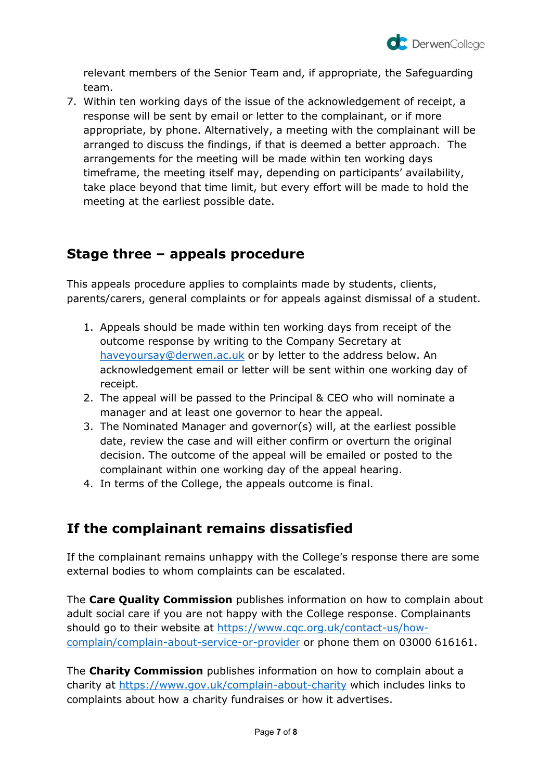

relevant members of the Senior Team and, if appropriate, the Safeguarding team.

7. Within ten working days of the issue of the acknowledgement of receipt, a response will be sent by email or letter to the complainant, or if more appropriate, by phone. Alternatively, a meeting with the complainant will be arranged to discuss the findings, if that is deemed a better approach. The arrangements for the meeting will be made within ten working days timeframe, the meeting itself may, depending on participants' availability, take place beyond that time limit, but every effort will be made to hold the meeting at the earliest possible date.

# **Stage three – appeals procedure**

This appeals procedure applies to complaints made by students, clients, parents/carers, general complaints or for appeals against dismissal of a student.

- 1. Appeals should be made within ten working days from receipt of the outcome response by writing to the Company Secretary at [haveyoursay@derwen.ac.uk](mailto:concernsandcomplaints@derwen.ac.uk) or by letter to the address below. An acknowledgement email or letter will be sent within one working day of receipt.
- 2. The appeal will be passed to the Principal & CEO who will nominate a manager and at least one governor to hear the appeal.
- 3. The Nominated Manager and governor(s) will, at the earliest possible date, review the case and will either confirm or overturn the original decision. The outcome of the appeal will be emailed or posted to the complainant within one working day of the appeal hearing.
- 4. In terms of the College, the appeals outcome is final.

# **If the complainant remains dissatisfied**

If the complainant remains unhappy with the College's response there are some external bodies to whom complaints can be escalated.

The **Care Quality Commission** publishes information on how to complain about adult social care if you are not happy with the College response. Complainants should go to their website at [https://www.cqc.org.uk/contact-us/how](https://www.cqc.org.uk/contact-us/how-complain/complain-about-service-or-provider)[complain/complain-about-service-or-provider](https://www.cqc.org.uk/contact-us/how-complain/complain-about-service-or-provider) or phone them on 03000 616161.

The **Charity Commission** publishes information on how to complain about a charity at<https://www.gov.uk/complain-about-charity> which includes links to complaints about how a charity fundraises or how it advertises.